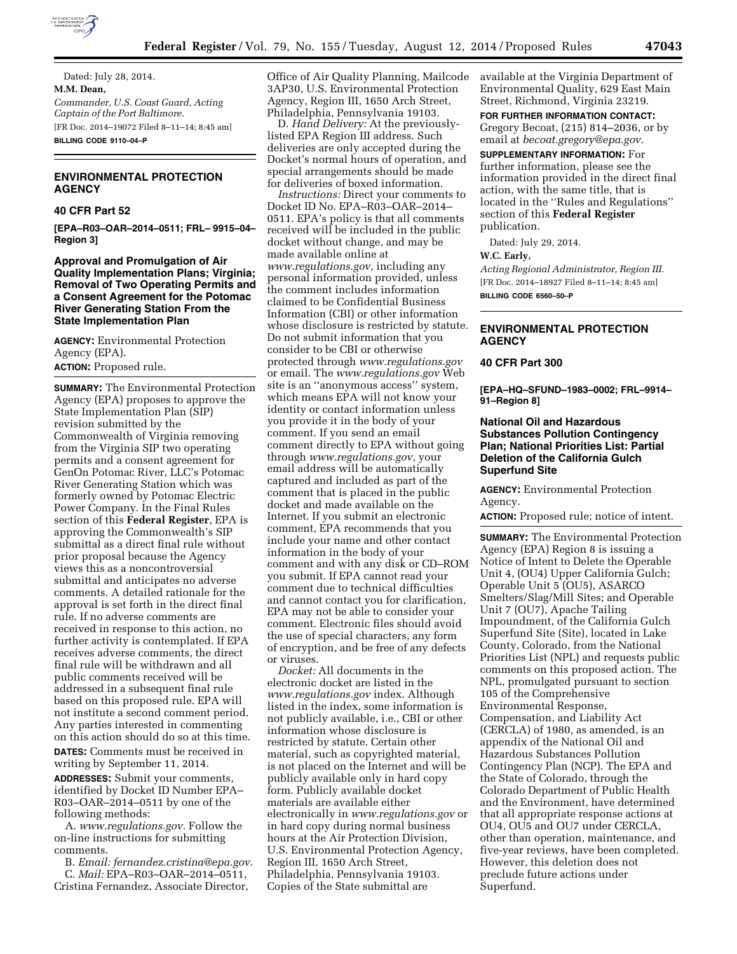

Dated: July 28, 2014. **M.M. Dean,**  *Commander, U.S. Coast Guard, Acting Captain of the Port Baltimore.*  [FR Doc. 2014–19072 Filed 8–11–14; 8:45 am] **BILLING CODE 9110–04–P** 

# **ENVIRONMENTAL PROTECTION AGENCY**

# **40 CFR Part 52**

**[EPA–R03–OAR–2014–0511; FRL– 9915–04– Region 3]** 

## **Approval and Promulgation of Air Quality Implementation Plans; Virginia; Removal of Two Operating Permits and a Consent Agreement for the Potomac River Generating Station From the State Implementation Plan**

**AGENCY:** Environmental Protection Agency (EPA).

**ACTION:** Proposed rule.

**SUMMARY:** The Environmental Protection Agency (EPA) proposes to approve the State Implementation Plan (SIP) revision submitted by the Commonwealth of Virginia removing from the Virginia SIP two operating permits and a consent agreement for GenOn Potomac River, LLC's Potomac River Generating Station which was formerly owned by Potomac Electric Power Company. In the Final Rules section of this **Federal Register**, EPA is approving the Commonwealth's SIP submittal as a direct final rule without prior proposal because the Agency views this as a noncontroversial submittal and anticipates no adverse comments. A detailed rationale for the approval is set forth in the direct final rule. If no adverse comments are received in response to this action, no further activity is contemplated. If EPA receives adverse comments, the direct final rule will be withdrawn and all public comments received will be addressed in a subsequent final rule based on this proposed rule. EPA will not institute a second comment period. Any parties interested in commenting on this action should do so at this time. **DATES:** Comments must be received in

writing by September 11, 2014.

**ADDRESSES:** Submit your comments, identified by Docket ID Number EPA– R03–OAR–2014–0511 by one of the following methods:

A. *[www.regulations.gov.](http://www.regulations.gov)* Follow the on-line instructions for submitting comments.

B. *Email: [fernandez.cristina@epa.gov.](mailto:fernandez.cristina@epa.gov)*  C. *Mail:* EPA–R03–OAR–2014–0511, Cristina Fernandez, Associate Director,

Office of Air Quality Planning, Mailcode 3AP30, U.S. Environmental Protection Agency, Region III, 1650 Arch Street, Philadelphia, Pennsylvania 19103.

D. *Hand Delivery:* At the previouslylisted EPA Region III address. Such deliveries are only accepted during the Docket's normal hours of operation, and special arrangements should be made for deliveries of boxed information.

*Instructions:* Direct your comments to Docket ID No. EPA–R03–OAR–2014– 0511. EPA's policy is that all comments received will be included in the public docket without change, and may be made available online at *[www.regulations.gov,](http://www.regulations.gov)* including any personal information provided, unless the comment includes information claimed to be Confidential Business Information (CBI) or other information whose disclosure is restricted by statute. Do not submit information that you consider to be CBI or otherwise protected through *[www.regulations.gov](http://www.regulations.gov)*  or email. The *[www.regulations.gov](http://www.regulations.gov)* Web site is an ''anonymous access'' system, which means EPA will not know your identity or contact information unless you provide it in the body of your comment. If you send an email comment directly to EPA without going through *[www.regulations.gov,](http://www.regulations.gov)* your email address will be automatically captured and included as part of the comment that is placed in the public docket and made available on the Internet. If you submit an electronic comment, EPA recommends that you include your name and other contact information in the body of your comment and with any disk or CD–ROM you submit. If EPA cannot read your comment due to technical difficulties and cannot contact you for clarification, EPA may not be able to consider your comment. Electronic files should avoid the use of special characters, any form of encryption, and be free of any defects or viruses.

*Docket:* All documents in the electronic docket are listed in the *[www.regulations.gov](http://www.regulations.gov)* index. Although listed in the index, some information is not publicly available, i.e., CBI or other information whose disclosure is restricted by statute. Certain other material, such as copyrighted material, is not placed on the Internet and will be publicly available only in hard copy form. Publicly available docket materials are available either electronically in *[www.regulations.gov](http://www.regulations.gov)* or in hard copy during normal business hours at the Air Protection Division, U.S. Environmental Protection Agency, Region III, 1650 Arch Street, Philadelphia, Pennsylvania 19103. Copies of the State submittal are

available at the Virginia Department of Environmental Quality, 629 East Main Street, Richmond, Virginia 23219.

**FOR FURTHER INFORMATION CONTACT:**  Gregory Becoat, (215) 814–2036, or by email at *[becoat.gregory@epa.gov.](mailto:becoat.gregory@epa.gov)* 

**SUPPLEMENTARY INFORMATION:** For further information, please see the information provided in the direct final action, with the same title, that is located in the ''Rules and Regulations'' section of this **Federal Register**  publication.

Dated: July 29, 2014.

## **W.C. Early,**

*Acting Regional Administrator, Region III.*  [FR Doc. 2014–18927 Filed 8–11–14; 8:45 am] **BILLING CODE 6560–50–P** 

# **ENVIRONMENTAL PROTECTION AGENCY**

#### **40 CFR Part 300**

**[EPA–HQ–SFUND–1983–0002; FRL–9914– 91–Region 8]** 

# **National Oil and Hazardous Substances Pollution Contingency Plan; National Priorities List: Partial Deletion of the California Gulch Superfund Site**

**AGENCY:** Environmental Protection Agency.

**ACTION:** Proposed rule; notice of intent.

**SUMMARY:** The Environmental Protection Agency (EPA) Region 8 is issuing a Notice of Intent to Delete the Operable Unit 4, (OU4) Upper California Gulch; Operable Unit 5 (OU5), ASARCO Smelters/Slag/Mill Sites; and Operable Unit 7 (OU7), Apache Tailing Impoundment, of the California Gulch Superfund Site (Site), located in Lake County, Colorado, from the National Priorities List (NPL) and requests public comments on this proposed action. The NPL, promulgated pursuant to section 105 of the Comprehensive Environmental Response, Compensation, and Liability Act (CERCLA) of 1980, as amended, is an appendix of the National Oil and Hazardous Substances Pollution Contingency Plan (NCP). The EPA and the State of Colorado, through the Colorado Department of Public Health and the Environment, have determined that all appropriate response actions at OU4, OU5 and OU7 under CERCLA, other than operation, maintenance, and five-year reviews, have been completed. However, this deletion does not preclude future actions under Superfund.